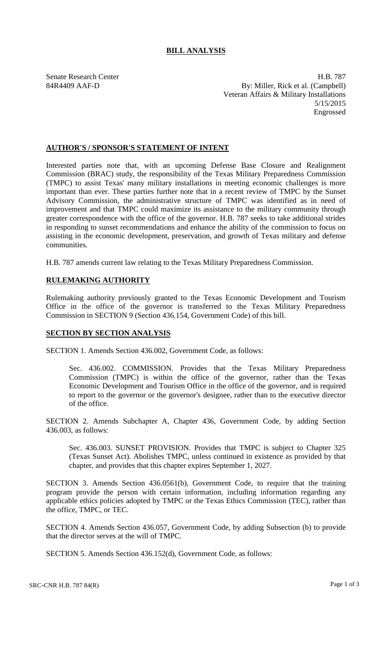# **BILL ANALYSIS**

Senate Research Center **H.B. 787** 84R4409 AAF-D By: Miller, Rick et al. (Campbell) Veteran Affairs & Military Installations 5/15/2015 Engrossed

### **AUTHOR'S / SPONSOR'S STATEMENT OF INTENT**

Interested parties note that, with an upcoming Defense Base Closure and Realignment Commission (BRAC) study, the responsibility of the Texas Military Preparedness Commission (TMPC) to assist Texas' many military installations in meeting economic challenges is more important than ever. These parties further note that in a recent review of TMPC by the Sunset Advisory Commission, the administrative structure of TMPC was identified as in need of improvement and that TMPC could maximize its assistance to the military community through greater correspondence with the office of the governor. H.B. 787 seeks to take additional strides in responding to sunset recommendations and enhance the ability of the commission to focus on assisting in the economic development, preservation, and growth of Texas military and defense communities.

H.B. 787 amends current law relating to the Texas Military Preparedness Commission.

# **RULEMAKING AUTHORITY**

Rulemaking authority previously granted to the Texas Economic Development and Tourism Office in the office of the governor is transferred to the Texas Military Preparedness Commission in SECTION 9 (Section 436.154, Government Code) of this bill.

#### **SECTION BY SECTION ANALYSIS**

SECTION 1. Amends Section 436.002, Government Code, as follows:

Sec. 436.002. COMMISSION. Provides that the Texas Military Preparedness Commission (TMPC) is within the office of the governor, rather than the Texas Economic Development and Tourism Office in the office of the governor, and is required to report to the governor or the governor's designee, rather than to the executive director of the office.

SECTION 2. Amends Subchapter A, Chapter 436, Government Code, by adding Section 436.003, as follows:

Sec. 436.003. SUNSET PROVISION. Provides that TMPC is subject to Chapter 325 (Texas Sunset Act). Abolishes TMPC, unless continued in existence as provided by that chapter, and provides that this chapter expires September 1, 2027.

SECTION 3. Amends Section 436.0561(b), Government Code, to require that the training program provide the person with certain information, including information regarding any applicable ethics policies adopted by TMPC or the Texas Ethics Commission (TEC), rather than the office, TMPC, or TEC.

SECTION 4. Amends Section 436.057, Government Code, by adding Subsection (b) to provide that the director serves at the will of TMPC.

SECTION 5. Amends Section 436.152(d), Government Code, as follows: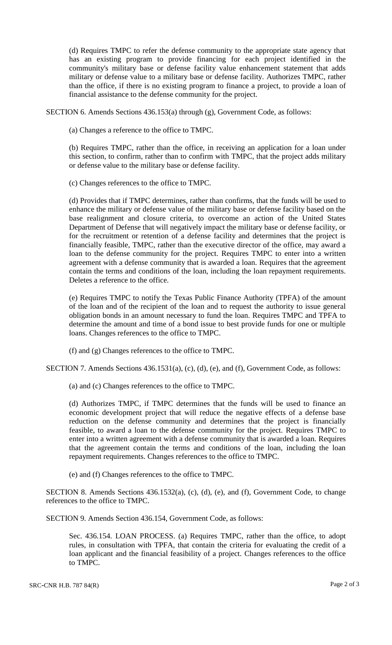(d) Requires TMPC to refer the defense community to the appropriate state agency that has an existing program to provide financing for each project identified in the community's military base or defense facility value enhancement statement that adds military or defense value to a military base or defense facility. Authorizes TMPC, rather than the office, if there is no existing program to finance a project, to provide a loan of financial assistance to the defense community for the project.

SECTION 6. Amends Sections 436.153(a) through (g), Government Code, as follows:

(a) Changes a reference to the office to TMPC.

(b) Requires TMPC, rather than the office, in receiving an application for a loan under this section, to confirm, rather than to confirm with TMPC, that the project adds military or defense value to the military base or defense facility.

(c) Changes references to the office to TMPC.

(d) Provides that if TMPC determines, rather than confirms, that the funds will be used to enhance the military or defense value of the military base or defense facility based on the base realignment and closure criteria, to overcome an action of the United States Department of Defense that will negatively impact the military base or defense facility, or for the recruitment or retention of a defense facility and determines that the project is financially feasible, TMPC, rather than the executive director of the office, may award a loan to the defense community for the project. Requires TMPC to enter into a written agreement with a defense community that is awarded a loan. Requires that the agreement contain the terms and conditions of the loan, including the loan repayment requirements. Deletes a reference to the office.

(e) Requires TMPC to notify the Texas Public Finance Authority (TPFA) of the amount of the loan and of the recipient of the loan and to request the authority to issue general obligation bonds in an amount necessary to fund the loan. Requires TMPC and TPFA to determine the amount and time of a bond issue to best provide funds for one or multiple loans. Changes references to the office to TMPC.

(f) and (g) Changes references to the office to TMPC.

SECTION 7. Amends Sections 436.1531(a), (c), (d), (e), and (f), Government Code, as follows:

(a) and (c) Changes references to the office to TMPC.

(d) Authorizes TMPC, if TMPC determines that the funds will be used to finance an economic development project that will reduce the negative effects of a defense base reduction on the defense community and determines that the project is financially feasible, to award a loan to the defense community for the project. Requires TMPC to enter into a written agreement with a defense community that is awarded a loan. Requires that the agreement contain the terms and conditions of the loan, including the loan repayment requirements. Changes references to the office to TMPC.

(e) and (f) Changes references to the office to TMPC.

SECTION 8. Amends Sections 436.1532(a), (c), (d), (e), and (f), Government Code, to change references to the office to TMPC.

SECTION 9. Amends Section 436.154, Government Code, as follows:

Sec. 436.154. LOAN PROCESS. (a) Requires TMPC, rather than the office, to adopt rules, in consultation with TPFA, that contain the criteria for evaluating the credit of a loan applicant and the financial feasibility of a project. Changes references to the office to TMPC.